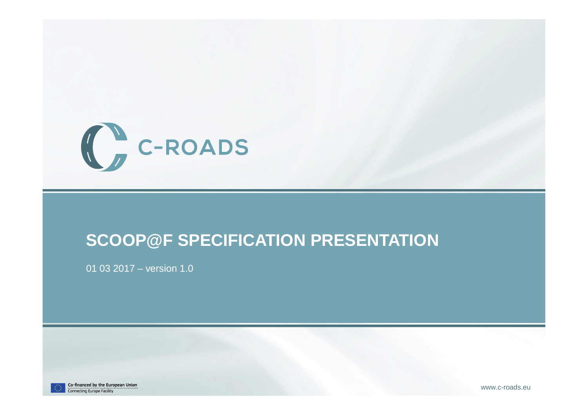

#### **SCOOP@F SPECIFICATION PRESENTATION**

01 03 2017 – version 1.0



Co-financed by the European Union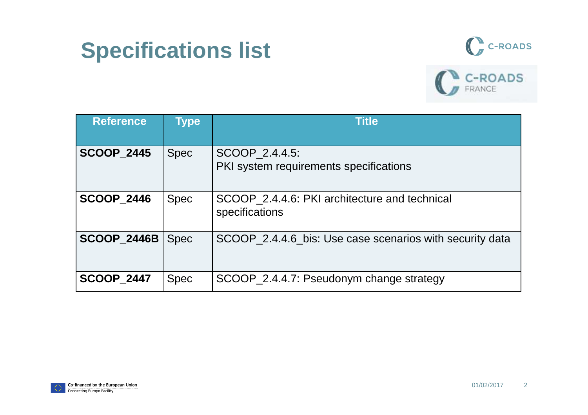# **Specifications list**





| <b>Reference</b>   | <b>Type</b> | <b>Title</b>                                                    |
|--------------------|-------------|-----------------------------------------------------------------|
| <b>SCOOP 2445</b>  | <b>Spec</b> | SCOOP 2.4.4.5:<br>PKI system requirements specifications        |
| <b>SCOOP 2446</b>  | <b>Spec</b> | SCOOP 2.4.4.6: PKI architecture and technical<br>specifications |
| <b>SCOOP_2446B</b> | <b>Spec</b> | SCOOP_2.4.4.6_bis: Use case scenarios with security data        |
| <b>SCOOP_2447</b>  | <b>Spec</b> | SCOOP_2.4.4.7: Pseudonym change strategy                        |

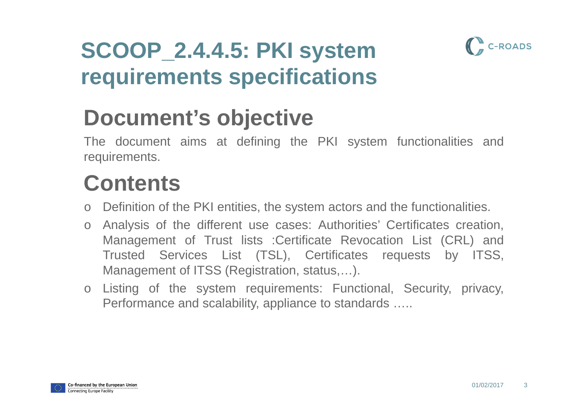

#### **SCOOP\_2.4.4.5: PKI system requirements specifications**

# **Document's objective**

 The document aims at defining the PKI system functionalities andrequirements.

#### **Contents**

- o Definition of the PKI entities, the system actors and the functionalities.
- o Analysis of the different use cases: Authorities' Certificates creation, Management of Trust lists :Certificate Revocation List (CRL) and Trusted Services List (TSL), Certificates requests by ITSS, Management of ITSS (Registration, status,…).
- o Listing of the system requirements: Functional, Security, privacy, Performance and scalability, appliance to standards …..

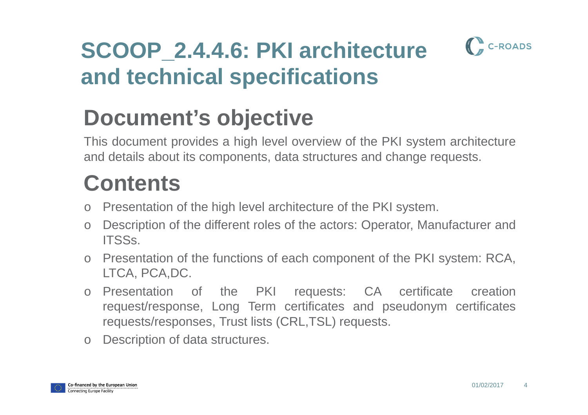

#### **SCOOP\_2.4.4.6: PKI architecture and technical specifications**

# **Document's objective**

 This document provides <sup>a</sup> high level overview of the PKI system architectureand details about its components, data structures and change requests.

#### **Contents**

- o Presentation of the high level architecture of the PKI system.
- o Description of the different roles of the actors: Operator, Manufacturer and ITSSs.
- o Presentation of the functions of each component of the PKI system: RCA, LTCA, PCA,DC.
- o Presentation of the PKI requests: CA certificate creation request/response, Long Term certificates and pseudonym certificatesrequests/responses, Trust lists (CRL,TSL) requests.
- oDescription of data structures.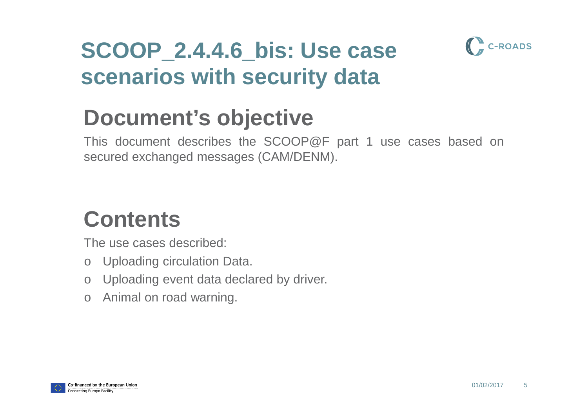

#### **SCOOP\_2.4.4.6\_bis: Use case scenarios with security data**

#### **Document's objective**

 This document describes the SCOOP@F part <sup>1</sup> use cases based onsecured exchanged messages (CAM/DENM).

#### **Contents**

The use cases described:

- o Uploading circulation Data.
- o Uploading event data declared by driver.
- o Animal on road warning.

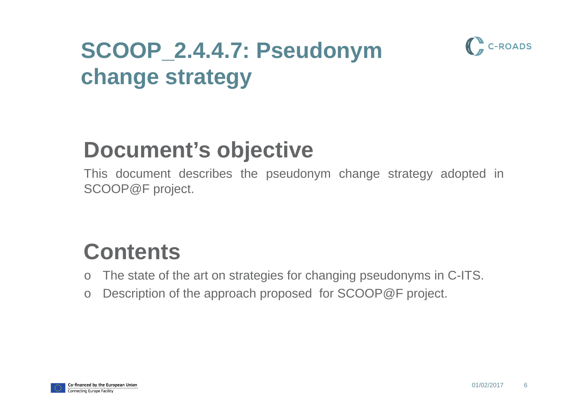# **SCOOP\_2.4.4.7: Pseudonym change strategy**



 This document describes the pseudonym change strategy adopted inSCOOP@F project.

#### **Contents**

- The state of the art on strategies for changing pseudonyms in C-ITS. o
- $\bigcap$ Description of the approach proposed for SCOOP@F project.



C-ROADS